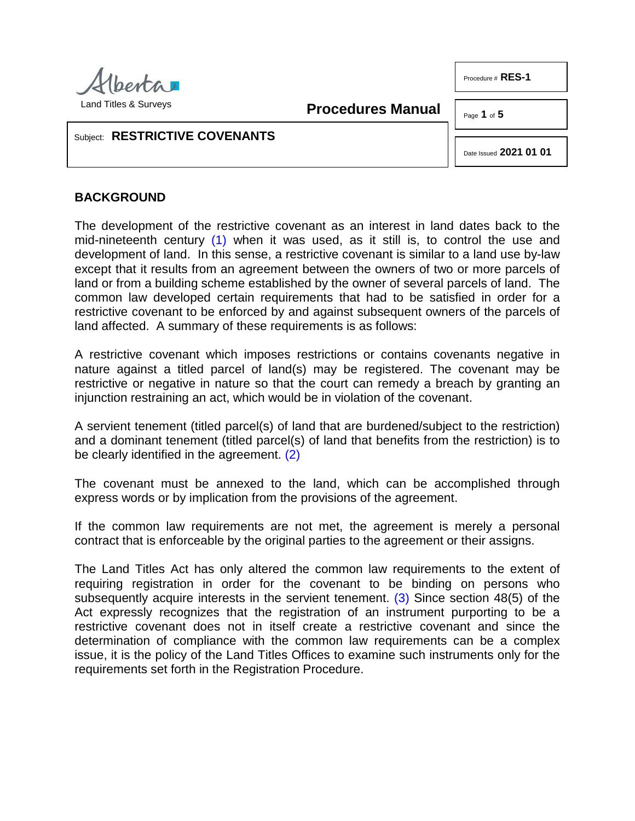

**Procedures Manual**

Page **1** of **5**

Procedure # **RES-1**

# Subject: **RESTRICTIVE COVENANTS**

Date Issued **2021 01 01**

## **BACKGROUND**

<span id="page-0-0"></span>The development of the restrictive covenant as an interest in land dates back to the mid-nineteenth century [\(1\)](#page-3-0) when it was used, as it still is, to control the use and development of land. In this sense, a restrictive covenant is similar to a land use by-law except that it results from an agreement between the owners of two or more parcels of land or from a building scheme established by the owner of several parcels of land. The common law developed certain requirements that had to be satisfied in order for a restrictive covenant to be enforced by and against subsequent owners of the parcels of land affected. A summary of these requirements is as follows:

A restrictive covenant which imposes restrictions or contains covenants negative in nature against a titled parcel of land(s) may be registered. The covenant may be restrictive or negative in nature so that the court can remedy a breach by granting an injunction restraining an act, which would be in violation of the covenant.

<span id="page-0-1"></span>A servient tenement (titled parcel(s) of land that are burdened/subject to the restriction) and a dominant tenement (titled parcel(s) of land that benefits from the restriction) is to be clearly identified in the agreement. [\(2\)](#page-3-1)

The covenant must be annexed to the land, which can be accomplished through express words or by implication from the provisions of the agreement.

If the common law requirements are not met, the agreement is merely a personal contract that is enforceable by the original parties to the agreement or their assigns.

<span id="page-0-2"></span>The Land Titles Act has only altered the common law requirements to the extent of requiring registration in order for the covenant to be binding on persons who subsequently acquire interests in the servient tenement. [\(3\)](#page-3-2) Since section 48(5) of the Act expressly recognizes that the registration of an instrument purporting to be a restrictive covenant does not in itself create a restrictive covenant and since the determination of compliance with the common law requirements can be a complex issue, it is the policy of the Land Titles Offices to examine such instruments only for the requirements set forth in the Registration Procedure.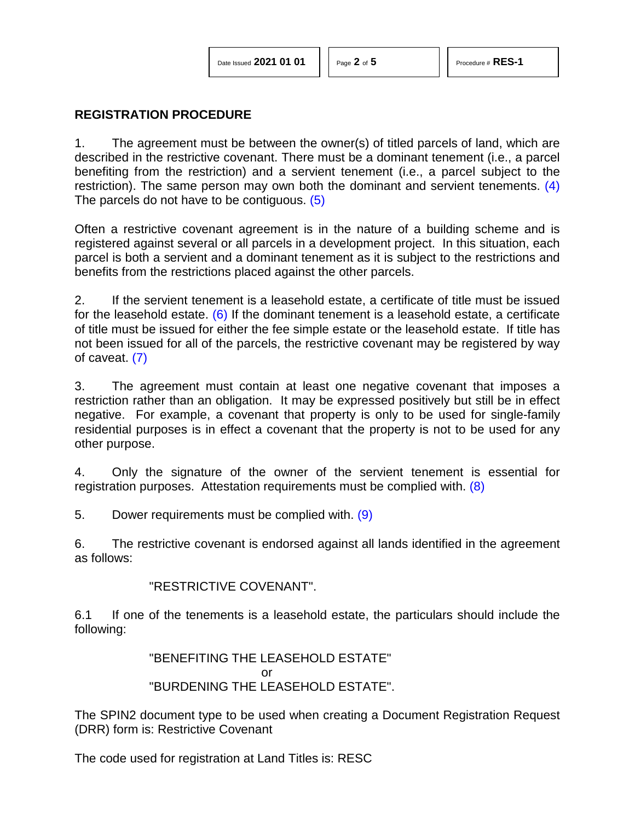<span id="page-1-1"></span><span id="page-1-0"></span>

#### **REGISTRATION PROCEDURE**

1. The agreement must be between the owner(s) of titled parcels of land, which are described in the restrictive covenant. There must be a dominant tenement (i.e., a parcel benefiting from the restriction) and a servient tenement (i.e., a parcel subject to the restriction). The same person may own both the dominant and servient tenements. [\(4\)](#page-3-3) The parcels do not have to be contiguous. [\(5\)](#page-4-0)

Often a restrictive covenant agreement is in the nature of a building scheme and is registered against several or all parcels in a development project. In this situation, each parcel is both a servient and a dominant tenement as it is subject to the restrictions and benefits from the restrictions placed against the other parcels.

<span id="page-1-2"></span>2. If the servient tenement is a leasehold estate, a certificate of title must be issued for the leasehold estate. [\(6\)](#page-4-1) If the dominant tenement is a leasehold estate, a certificate of title must be issued for either the fee simple estate or the leasehold estate. If title has not been issued for all of the parcels, the restrictive covenant may be registered by way of caveat. [\(7\)](#page-4-2)

<span id="page-1-3"></span>3. The agreement must contain at least one negative covenant that imposes a restriction rather than an obligation. It may be expressed positively but still be in effect negative. For example, a covenant that property is only to be used for single-family residential purposes is in effect a covenant that the property is not to be used for any other purpose.

4. Only the signature of the owner of the servient tenement is essential for registration purposes. Attestation requirements must be complied with. [\(8\)](#page-4-3)

5. Dower requirements must be complied with. [\(9\)](#page-4-4)

6. The restrictive covenant is endorsed against all lands identified in the agreement as follows:

<span id="page-1-5"></span><span id="page-1-4"></span>"RESTRICTIVE COVENANT".

6.1 If one of the tenements is a leasehold estate, the particulars should include the following:

> "BENEFITING THE LEASEHOLD ESTATE" or "BURDENING THE LEASEHOLD ESTATE".

The SPIN2 document type to be used when creating a Document Registration Request (DRR) form is: Restrictive Covenant

The code used for registration at Land Titles is: RESC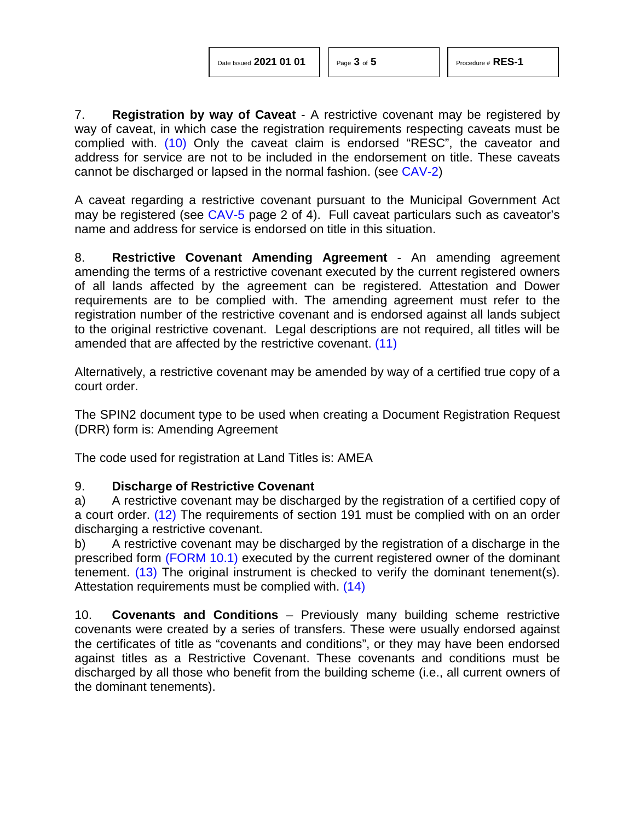| Date Issued 2021 01 01 |  |  |  |
|------------------------|--|--|--|
|------------------------|--|--|--|

<span id="page-2-1"></span>

<span id="page-2-0"></span>7. **Registration by way of Caveat** - A restrictive covenant may be registered by way of caveat, in which case the registration requirements respecting caveats must be complied with. [\(10\)](#page-4-5) Only the caveat claim is endorsed "RESC", the caveator and address for service are not to be included in the endorsement on title. These caveats cannot be discharged or lapsed in the normal fashion. (see [CAV-2\)](http://www.servicealberta.ca/pdf/ltmanual/CAV-2.pdf)

A caveat regarding a restrictive covenant pursuant to the Municipal Government Act may be registered (see [CAV-5](http://www.servicealberta.ca/pdf/ltmanual/CAV-5.PDF) page 2 of 4). Full caveat particulars such as caveator's name and address for service is endorsed on title in this situation.

8. **Restrictive Covenant Amending Agreement** - An amending agreement amending the terms of a restrictive covenant executed by the current registered owners of all lands affected by the agreement can be registered. Attestation and Dower requirements are to be complied with. The amending agreement must refer to the registration number of the restrictive covenant and is endorsed against all lands subject to the original restrictive covenant. Legal descriptions are not required, all titles will be amended that are affected by the restrictive covenant. [\(11\)](#page-4-6)

Alternatively, a restrictive covenant may be amended by way of a certified true copy of a court order.

The SPIN2 document type to be used when creating a Document Registration Request (DRR) form is: Amending Agreement

The code used for registration at Land Titles is: AMEA

# 9. **Discharge of Restrictive Covenant**

<span id="page-2-2"></span>a) A restrictive covenant may be discharged by the registration of a certified copy of a court order. [\(12\)](#page-4-7) The requirements of section 191 must be complied with on an order discharging a restrictive covenant.

<span id="page-2-3"></span>b) A restrictive covenant may be discharged by the registration of a discharge in the prescribed form [\(FORM 10.1\)](http://www.servicealberta.ca/pdf/ltmanual/FORM10.1.PDF) executed by the current registered owner of the dominant tenement. [\(13\)](#page-4-8) The original instrument is checked to verify the dominant tenement(s). Attestation requirements must be complied with. [\(14\)](#page-4-9)

<span id="page-2-4"></span>10. **Covenants and Conditions** – Previously many building scheme restrictive covenants were created by a series of transfers. These were usually endorsed against the certificates of title as "covenants and conditions", or they may have been endorsed against titles as a Restrictive Covenant. These covenants and conditions must be discharged by all those who benefit from the building scheme (i.e., all current owners of the dominant tenements).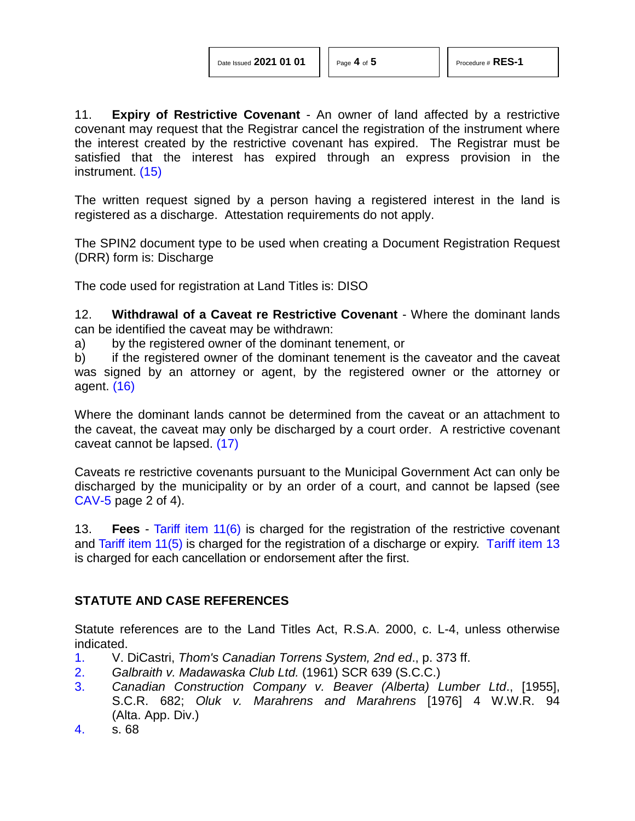11. **Expiry of Restrictive Covenant** - An owner of land affected by a restrictive covenant may request that the Registrar cancel the registration of the instrument where the interest created by the restrictive covenant has expired. The Registrar must be satisfied that the interest has expired through an express provision in the instrument. [\(15\)](#page-4-10)

<span id="page-3-4"></span>The written request signed by a person having a registered interest in the land is registered as a discharge. Attestation requirements do not apply.

The SPIN2 document type to be used when creating a Document Registration Request (DRR) form is: Discharge

The code used for registration at Land Titles is: DISO

12. **Withdrawal of a Caveat re Restrictive Covenant** - Where the dominant lands can be identified the caveat may be withdrawn:

a) by the registered owner of the dominant tenement, or

<span id="page-3-5"></span>b) if the registered owner of the dominant tenement is the caveator and the caveat was signed by an attorney or agent, by the registered owner or the attorney or agent. [\(16\)](#page-4-11)

<span id="page-3-6"></span>Where the dominant lands cannot be determined from the caveat or an attachment to the caveat, the caveat may only be discharged by a court order. A restrictive covenant caveat cannot be lapsed. [\(17\)](#page-4-12)

Caveats re restrictive covenants pursuant to the Municipal Government Act can only be discharged by the municipality or by an order of a court, and cannot be lapsed (see [CAV-5](http://www.servicealberta.ca/pdf/ltmanual/CAV-5.PDF) page 2 of 4).

13. **Fees** - [Tariff item 11\(6\)](http://www.servicealberta.ca/pdf/ltmanual/APPENDIXI.PDF) is charged for the registration of the restrictive covenant and [Tariff item 11\(5\)](http://www.servicealberta.ca/pdf/ltmanual/APPENDIXI.PDF) is charged for the registration of a discharge or expiry. [Tariff item 13](http://www.servicealberta.ca/pdf/ltmanual/APPENDIXI.PDF) is charged for each cancellation or endorsement after the first.

## **STATUTE AND CASE REFERENCES**

Statute references are to the Land Titles Act, R.S.A. 2000, c. L-4, unless otherwise indicated.

- <span id="page-3-0"></span>[1.](#page-0-0) V. DiCastri, *Thom's Canadian Torrens System, 2nd ed*., p. 373 ff.
- <span id="page-3-1"></span>[2.](#page-0-1) *Galbraith v. Madawaska Club Ltd.* (1961) SCR 639 (S.C.C.)
- <span id="page-3-2"></span>[3.](#page-0-2) *Canadian Construction Company v. Beaver (Alberta) Lumber Ltd*., [1955], S.C.R. 682; *Oluk v. Marahrens and Marahrens* [1976] 4 W.W.R. 94 (Alta. App. Div.)
- <span id="page-3-3"></span>[4.](#page-1-0) s. 68